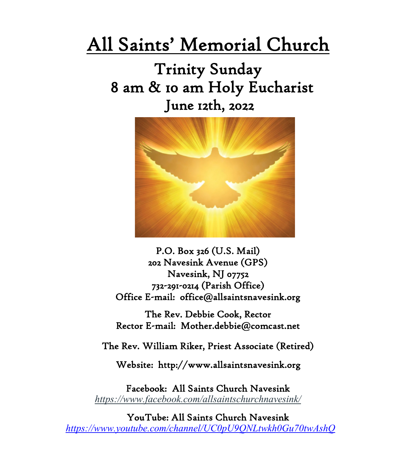# All Saints' Memorial Church

# Trinity Sunday 8 am & 10 am Holy Eucharist June 12th, 2022



P.O. Box 326 (U.S. Mail) 202 Navesink Avenue (GPS) Navesink, NJ 07752 732-291-0214 (Parish Office) Office E-mail: office@allsaintsnavesink.org

The Rev. Debbie Cook, Rector Rector E-mail: Mother.debbie@comcast.net

The Rev. William Riker, Priest Associate (Retired)

Website: http://www.allsaintsnavesink.org

Facebook: All Saints Church Navesink *<https://www.facebook.com/allsaintschurchnavesink/>* 

YouTube: All Saints Church Navesink *<https://www.youtube.com/channel/UC0pU9QNLtwkh0Gu70twAshQ>*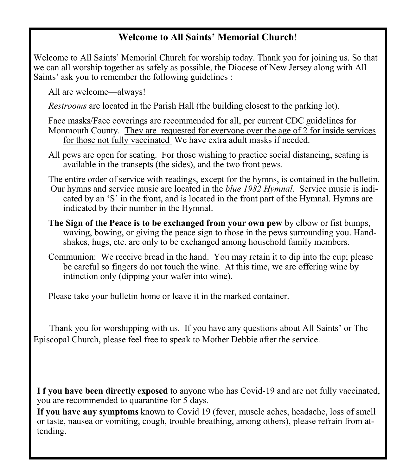## **Welcome to All Saints' Memorial Church**!

Welcome to All Saints' Memorial Church for worship today. Thank you for joining us. So that we can all worship together as safely as possible, the Diocese of New Jersey along with All Saints' ask you to remember the following guidelines :

All are welcome—always!

*Restrooms* are located in the Parish Hall (the building closest to the parking lot).

Face masks/Face coverings are recommended for all, per current CDC guidelines for Monmouth County. They are requested for everyone over the age of 2 for inside services for those not fully vaccinated We have extra adult masks if needed.

All pews are open for seating. For those wishing to practice social distancing, seating is available in the transepts (the sides), and the two front pews.

The entire order of service with readings, except for the hymns, is contained in the bulletin. Our hymns and service music are located in the *blue 1982 Hymnal*. Service music is indicated by an 'S' in the front, and is located in the front part of the Hymnal. Hymns are indicated by their number in the Hymnal.

- **The Sign of the Peace is to be exchanged from your own pew** by elbow or fist bumps, waving, bowing, or giving the peace sign to those in the pews surrounding you. Handshakes, hugs, etc. are only to be exchanged among household family members.
- Communion: We receive bread in the hand. You may retain it to dip into the cup; please be careful so fingers do not touch the wine. At this time, we are offering wine by intinction only (dipping your wafer into wine).

Please take your bulletin home or leave it in the marked container.

 Thank you for worshipping with us. If you have any questions about All Saints' or The Episcopal Church, please feel free to speak to Mother Debbie after the service.

**I f you have been directly exposed** to anyone who has Covid-19 and are not fully vaccinated, you are recommended to quarantine for 5 days.

**If you have any symptoms** known to Covid 19 (fever, muscle aches, headache, loss of smell or taste, nausea or vomiting, cough, trouble breathing, among others), please refrain from attending.

2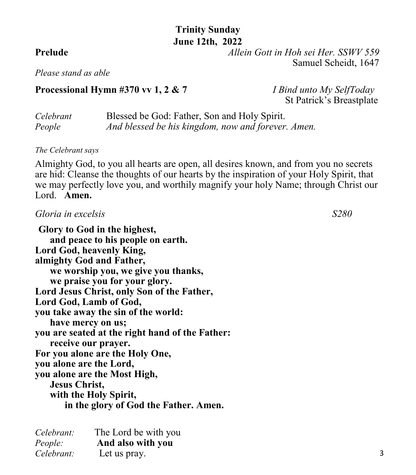## **Trinity Sunday June 12th, 2022**

**Prelude** *Allein Gott in Hoh sei Her. SSWV 559* Samuel Scheidt, 1647

*Please stand as able*

### **Processional Hymn #370 vv 1, 2 & 7** *I Bind unto My SelfToday*

St Patrick's Breastplate

| Celebrant | Blessed be God: Father, Son and Holy Spirit.       |
|-----------|----------------------------------------------------|
| People    | And blessed be his kingdom, now and forever. Amen. |

#### *The Celebrant says*

Almighty God, to you all hearts are open, all desires known, and from you no secrets are hid: Cleanse the thoughts of our hearts by the inspiration of your Holy Spirit, that we may perfectly love you, and worthily magnify your holy Name; through Christ our Lord. **Amen.**

### *Gloria in excelsis S280*

**Glory to God in the highest, and peace to his people on earth. Lord God, heavenly King, almighty God and Father, we worship you, we give you thanks, we praise you for your glory. Lord Jesus Christ, only Son of the Father, Lord God, Lamb of God, you take away the sin of the world: have mercy on us; you are seated at the right hand of the Father: receive our prayer. For you alone are the Holy One, you alone are the Lord, you alone are the Most High, Jesus Christ, with the Holy Spirit, in the glory of God the Father. Amen.**

| Celebrant:     | The Lord be with you |
|----------------|----------------------|
| <i>People:</i> | And also with you    |
| Celebrant:     | Let us pray.         |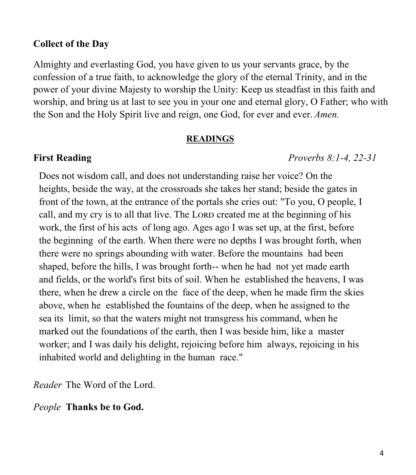### **Collect of the Day**

Almighty and everlasting God, you have given to us your servants grace, by the confession of a true faith, to acknowledge the glory of the eternal Trinity, and in the power of your divine Majesty to worship the Unity: Keep us steadfast in this faith and worship, and bring us at last to see you in your one and eternal glory, O Father; who with the Son and the Holy Spirit live and reign, one God, for ever and ever. *Amen.*

#### **READINGS**

**First Reading** *Proverbs 8:1-4, 22-31*

Does not wisdom call, and does not understanding raise her voice? On the heights, beside the way, at the crossroads she takes her stand; beside the gates in front of the town, at the entrance of the portals she cries out: "To you, O people, I call, and my cry is to all that live. The LORD created me at the beginning of his work, the first of his acts of long ago. Ages ago I was set up, at the first, before the beginning of the earth. When there were no depths I was brought forth, when there were no springs abounding with water. Before the mountains had been shaped, before the hills, I was brought forth-- when he had not yet made earth and fields, or the world's first bits of soil. When he established the heavens, I was there, when he drew a circle on the face of the deep, when he made firm the skies above, when he established the fountains of the deep, when he assigned to the sea its limit, so that the waters might not transgress his command, when he marked out the foundations of the earth, then I was beside him, like a master worker; and I was daily his delight, rejoicing before him always, rejoicing in his inhabited world and delighting in the human race."

*Reader* The Word of the Lord.

### *People* **Thanks be to God.**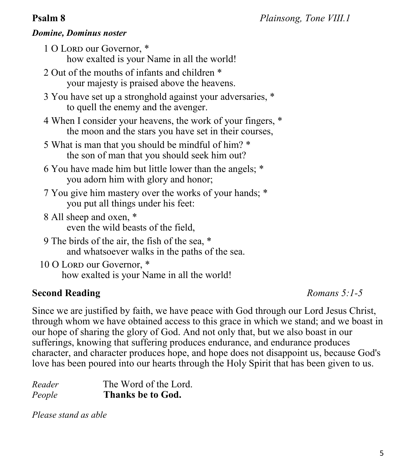## *Domine, Dominus noster*

1 O Lord our Governor,  $*$ how exalted is your Name in all the world!

- 2 Out of the mouths of infants and children \* your majesty is praised above the heavens.
- 3 You have set up a stronghold against your adversaries, \* to quell the enemy and the avenger.
- 4 When I consider your heavens, the work of your fingers, \* the moon and the stars you have set in their courses,
- 5 What is man that you should be mindful of him? \* the son of man that you should seek him out?
- 6 You have made him but little lower than the angels; \* you adorn him with glory and honor;
- 7 You give him mastery over the works of your hands; \* you put all things under his feet:
- 8 All sheep and oxen, \* even the wild beasts of the field,
- 9 The birds of the air, the fish of the sea, \* and whatsoever walks in the paths of the sea.
- 10 O Lord our Governor,  $*$ how exalted is your Name in all the world!

## **Second Reading** *Romans 5:1-5*

Since we are justified by faith, we have peace with God through our Lord Jesus Christ, through whom we have obtained access to this grace in which we stand; and we boast in our hope of sharing the glory of God. And not only that, but we also boast in our sufferings, knowing that suffering produces endurance, and endurance produces character, and character produces hope, and hope does not disappoint us, because God's love has been poured into our hearts through the Holy Spirit that has been given to us.

| Reader | The Word of the Lord. |
|--------|-----------------------|
| People | Thanks be to God.     |

*Please stand as able*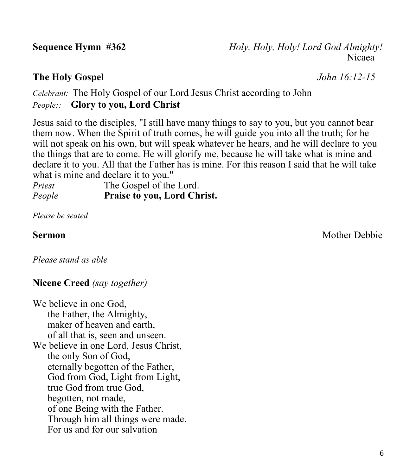**Sequence Hymn #362** *Holy, Holy, Holy! Lord God Almighty!* nicaea ann an t-India ann an t-India ann an t-India ann an t-India ann an t-India ann an t-India ann an t-India

## **The Holy Gospel** *John 16:12-15*

*Celebrant:* The Holy Gospel of our Lord Jesus Christ according to John *People::* **Glory to you, Lord Christ**

Jesus said to the disciples, "I still have many things to say to you, but you cannot bear them now. When the Spirit of truth comes, he will guide you into all the truth; for he will not speak on his own, but will speak whatever he hears, and he will declare to you the things that are to come. He will glorify me, because he will take what is mine and declare it to you. All that the Father has is mine. For this reason I said that he will take what is mine and declare it to you."

*Priest* The Gospel of the Lord. *People* **Praise to you, Lord Christ.** 

*Please be seated*

**Sermon** Mother Debbie

*Please stand as able*

## **Nicene Creed** *(say together)*

We believe in one God, the Father, the Almighty, maker of heaven and earth, of all that is, seen and unseen. We believe in one Lord, Jesus Christ, the only Son of God, eternally begotten of the Father, God from God, Light from Light, true God from true God, begotten, not made, of one Being with the Father. Through him all things were made. For us and for our salvation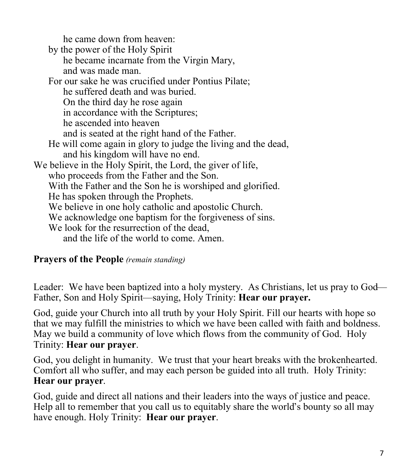he came down from heaven:

by the power of the Holy Spirit he became incarnate from the Virgin Mary, and was made man. For our sake he was crucified under Pontius Pilate; he suffered death and was buried. On the third day he rose again in accordance with the Scriptures; he ascended into heaven and is seated at the right hand of the Father. He will come again in glory to judge the living and the dead, and his kingdom will have no end. We believe in the Holy Spirit, the Lord, the giver of life, who proceeds from the Father and the Son. With the Father and the Son he is worshiped and glorified. He has spoken through the Prophets. We believe in one holy catholic and apostolic Church. We acknowledge one baptism for the forgiveness of sins. We look for the resurrection of the dead, and the life of the world to come. Amen.

## **Prayers of the People** *(remain standing)*

Leader: We have been baptized into a holy mystery. As Christians, let us pray to God— Father, Son and Holy Spirit—saying, Holy Trinity: **Hear our prayer.**

God, guide your Church into all truth by your Holy Spirit. Fill our hearts with hope so that we may fulfill the ministries to which we have been called with faith and boldness. May we build a community of love which flows from the community of God. Holy Trinity: **Hear our prayer**.

God, you delight in humanity. We trust that your heart breaks with the brokenhearted. Comfort all who suffer, and may each person be guided into all truth. Holy Trinity: **Hear our prayer**.

God, guide and direct all nations and their leaders into the ways of justice and peace. Help all to remember that you call us to equitably share the world's bounty so all may have enough. Holy Trinity: **Hear our prayer**.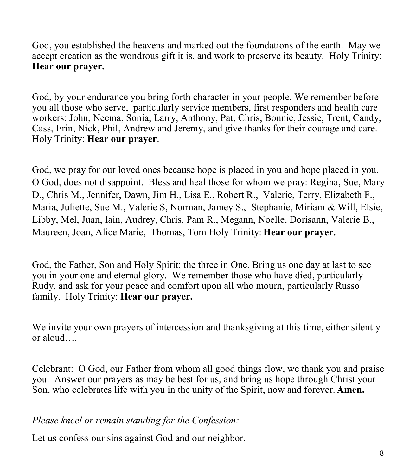God, you established the heavens and marked out the foundations of the earth. May we accept creation as the wondrous gift it is, and work to preserve its beauty. Holy Trinity: **Hear our prayer.**

God, by your endurance you bring forth character in your people. We remember before you all those who serve, particularly service members, first responders and health care workers: John, Neema, Sonia, Larry, Anthony, Pat, Chris, Bonnie, Jessie, Trent, Candy, Cass, Erin, Nick, Phil, Andrew and Jeremy, and give thanks for their courage and care. Holy Trinity: **Hear our prayer**.

God, we pray for our loved ones because hope is placed in you and hope placed in you, O God, does not disappoint. Bless and heal those for whom we pray: Regina, Sue, Mary D., Chris M., Jennifer, Dawn, Jim H., Lisa E., Robert R., Valerie, Terry, Elizabeth F., Maria, Juliette, Sue M., Valerie S, Norman, Jamey S., Stephanie, Miriam & Will, Elsie, Libby, Mel, Juan, Iain, Audrey, Chris, Pam R., Megann, Noelle, Dorisann, Valerie B., Maureen, Joan, Alice Marie, Thomas, Tom Holy Trinity: **Hear our prayer.**

God, the Father, Son and Holy Spirit; the three in One. Bring us one day at last to see you in your one and eternal glory. We remember those who have died, particularly Rudy, and ask for your peace and comfort upon all who mourn, particularly Russo family. Holy Trinity: **Hear our prayer.**

We invite your own prayers of intercession and thanksgiving at this time, either silently or aloud….

Celebrant: O God, our Father from whom all good things flow, we thank you and praise you. Answer our prayers as may be best for us, and bring us hope through Christ your Son, who celebrates life with you in the unity of the Spirit, now and forever. **Amen.**

*Please kneel or remain standing for the Confession:*

Let us confess our sins against God and our neighbor.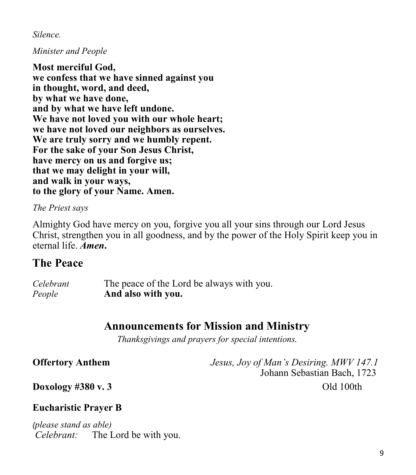*Silence.*

### *Minister and People*

**Most merciful God, we confess that we have sinned against you in thought, word, and deed, by what we have done, and by what we have left undone. We have not loved you with our whole heart; we have not loved our neighbors as ourselves. We are truly sorry and we humbly repent. For the sake of your Son Jesus Christ, have mercy on us and forgive us; that we may delight in your will, and walk in your ways, to the glory of your Name. Amen.**

*The Priest says*

Almighty God have mercy on you, forgive you all your sins through our Lord Jesus Christ, strengthen you in all goodness, and by the power of the Holy Spirit keep you in eternal life. *Amen***.**

## **The Peace**

| Celebrant | The peace of the Lord be always with you. |
|-----------|-------------------------------------------|
| People    | And also with you.                        |

## **Announcements for Mission and Ministry**

*Thanksgivings and prayers for special intentions*.

**Offertory Anthem** *Jesus, Joy of Man's Desiring. MWV 147.1* Johann Sebastian Bach, 1723

**Doxology #380 v. 3** Old 100th

## **Eucharistic Prayer B**

*(please stand as able) Celebrant:* The Lord be with you.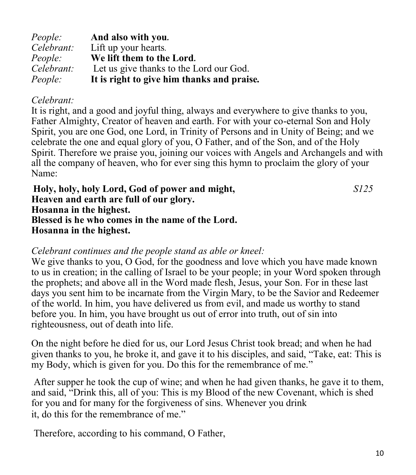| <i>People:</i> | And also with you.                         |
|----------------|--------------------------------------------|
| Celebrant:     | Lift up your hearts.                       |
| <i>People:</i> | We lift them to the Lord.                  |
| Celebrant:     | Let us give thanks to the Lord our God.    |
| <i>People:</i> | It is right to give him thanks and praise. |

## *Celebrant:*

It is right, and a good and joyful thing, always and everywhere to give thanks to you, Father Almighty, Creator of heaven and earth. For with your co-eternal Son and Holy Spirit, you are one God, one Lord, in Trinity of Persons and in Unity of Being; and we celebrate the one and equal glory of you, O Father, and of the Son, and of the Holy Spirit. Therefore we praise you, joining our voices with Angels and Archangels and with all the company of heaven, who for ever sing this hymn to proclaim the glory of your Name:

**Holy, holy, holy Lord, God of power and might,** *S125* **Heaven and earth are full of our glory. Hosanna in the highest. Blessed is he who comes in the name of the Lord. Hosanna in the highest.**

## *Celebrant continues and the people stand as able or kneel:*

We give thanks to you, O God, for the goodness and love which you have made known to us in creation; in the calling of Israel to be your people; in your Word spoken through the prophets; and above all in the Word made flesh, Jesus, your Son. For in these last days you sent him to be incarnate from the Virgin Mary, to be the Savior and Redeemer of the world. In him, you have delivered us from evil, and made us worthy to stand before you. In him, you have brought us out of error into truth, out of sin into righteousness, out of death into life.

On the night before he died for us, our Lord Jesus Christ took bread; and when he had given thanks to you, he broke it, and gave it to his disciples, and said, "Take, eat: This is my Body, which is given for you. Do this for the remembrance of me."

After supper he took the cup of wine; and when he had given thanks, he gave it to them, and said, "Drink this, all of you: This is my Blood of the new Covenant, which is shed for you and for many for the forgiveness of sins. Whenever you drink it, do this for the remembrance of me."

Therefore, according to his command, O Father,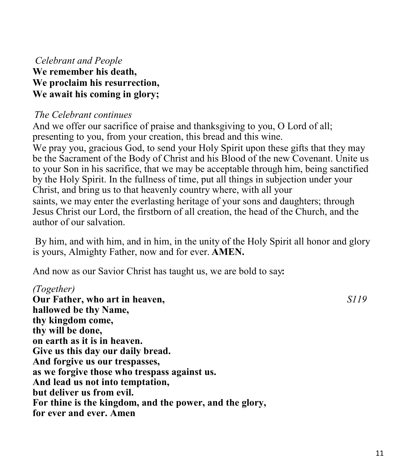## *Celebrant and People* **We remember his death, We proclaim his resurrection, We await his coming in glory;**

## *The Celebrant continues*

And we offer our sacrifice of praise and thanksgiving to you, O Lord of all; presenting to you, from your creation, this bread and this wine. We pray you, gracious God, to send your Holy Spirit upon these gifts that they may be the Sacrament of the Body of Christ and his Blood of the new Covenant. Unite us to your Son in his sacrifice, that we may be acceptable through him, being sanctified by the Holy Spirit. In the fullness of time, put all things in subjection under your Christ, and bring us to that heavenly country where, with all your saints, we may enter the everlasting heritage of your sons and daughters; through Jesus Christ our Lord, the firstborn of all creation, the head of the Church, and the author of our salvation.

By him, and with him, and in him, in the unity of the Holy Spirit all honor and glory is yours, Almighty Father, now and for ever. **AMEN.**

And now as our Savior Christ has taught us, we are bold to say**:**

## *(Together)*

**Our Father, who art in heaven,** *S119* **hallowed be thy Name, thy kingdom come, thy will be done, on earth as it is in heaven. Give us this day our daily bread. And forgive us our trespasses, as we forgive those who trespass against us. And lead us not into temptation, but deliver us from evil. For thine is the kingdom, and the power, and the glory, for ever and ever. Amen**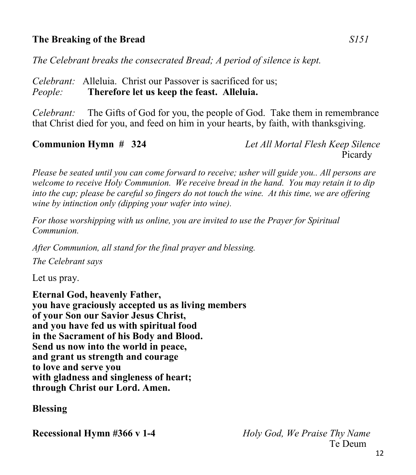## **The Breaking of the Bread** *S151*

*The Celebrant breaks the consecrated Bread; A period of silence is kept.*

*Celebrant:* Alleluia. Christ our Passover is sacrificed for us; *People:* **Therefore let us keep the feast. Alleluia.**

*Celebrant:* The Gifts of God for you, the people of God. Take them in remembrance that Christ died for you, and feed on him in your hearts, by faith, with thanksgiving.

**Communion Hymn # 324** *Let All Mortal Flesh Keep Silence* **Picardy** 

*Please be seated until you can come forward to receive; usher will guide you.. All persons are welcome to receive Holy Communion. We receive bread in the hand. You may retain it to dip into the cup; please be careful so fingers do not touch the wine. At this time, we are offering wine by intinction only (dipping your wafer into wine).* 

*For those worshipping with us online, you are invited to use the Prayer for Spiritual Communion.*

*After Communion, all stand for the final prayer and blessing.* 

*The Celebrant says*

Let us pray.

**Eternal God, heavenly Father, you have graciously accepted us as living members of your Son our Savior Jesus Christ, and you have fed us with spiritual food in the Sacrament of his Body and Blood. Send us now into the world in peace, and grant us strength and courage to love and serve you with gladness and singleness of heart; through Christ our Lord. Amen.** 

**Blessing**

**Recessional Hymn #366 v 1-4** *Holy God, We Praise Thy Name* Te Deum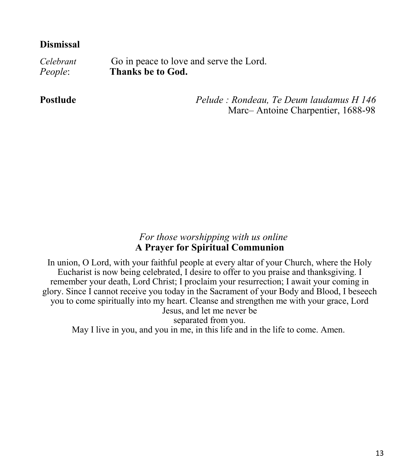## **Dismissal**

*Celebrant* Go in peace to love and serve the Lord. *People*: **Thanks be to God.** 

**Postlude** *Pelude : Rondeau, Te Deum laudamus H 146* Marc– Antoine Charpentier, 1688-98

### *For those worshipping with us online* **A Prayer for Spiritual Communion**

In union, O Lord, with your faithful people at every altar of your Church, where the Holy Eucharist is now being celebrated, I desire to offer to you praise and thanksgiving. I remember your death, Lord Christ; I proclaim your resurrection; I await your coming in glory. Since I cannot receive you today in the Sacrament of your Body and Blood, I beseech you to come spiritually into my heart. Cleanse and strengthen me with your grace, Lord Jesus, and let me never be separated from you. May I live in you, and you in me, in this life and in the life to come. Amen.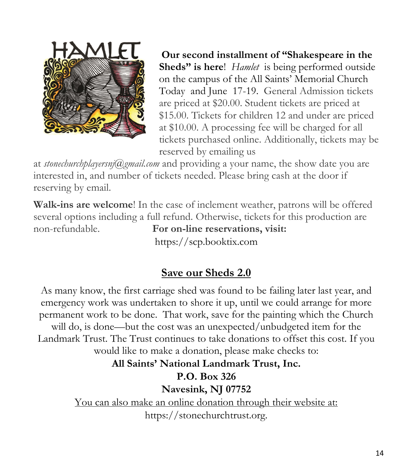

**Our second installment of "Shakespeare in the Sheds" is here**! *Hamlet* is being performed outside on the campus of the All Saints' Memorial Church Today and June 17-19. General Admission tickets are priced at \$20.00. Student tickets are priced at \$15.00. Tickets for children 12 and under are priced at \$10.00. A processing fee will be charged for all tickets purchased online. Additionally, tickets may be reserved by emailing us

at *stonechurchplayersnj@gmail.com* and providing a your name, the show date you are interested in, and number of tickets needed. Please bring cash at the door if reserving by email.

**Walk-ins are welcome**! In the case of inclement weather, patrons will be offered several options including a full refund. Otherwise, tickets for this production are non-refundable. **For on-line reservations, visit:**

https://scp.booktix.com

## **Save our Sheds 2.0**

As many know, the first carriage shed was found to be failing later last year, and emergency work was undertaken to shore it up, until we could arrange for more permanent work to be done. That work, save for the painting which the Church will do, is done—but the cost was an unexpected/unbudgeted item for the Landmark Trust. The Trust continues to take donations to offset this cost. If you would like to make a donation, please make checks to:

## **All Saints' National Landmark Trust, Inc.**

## **P.O. Box 326**

**Navesink, NJ 07752**

You can also make an online donation through their website at: https://stonechurchtrust.org.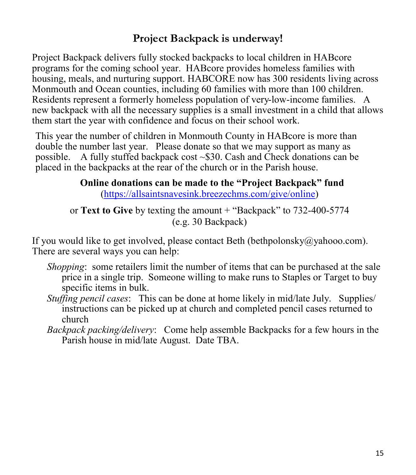## **Project Backpack is underway!**

Project Backpack delivers fully stocked backpacks to local children in HABcore programs for the coming school year. HABcore provides homeless families with housing, meals, and nurturing support. HABCORE now has 300 residents living across Monmouth and Ocean counties, including 60 families with more than 100 children. Residents represent a formerly homeless population of very-low-income families.A new backpack with all the necessary supplies is a small investment in a child that allows them start the year with confidence and focus on their school work.

This year the number of children in Monmouth County in HABcore is more than double the number last year. Please donate so that we may support as many as possible. A fully stuffed backpack cost ~\$30. Cash and Check donations can be placed in the backpacks at the rear of the church or in the Parish house.

## **Online donations can be made to the "Project Backpack" fund** [\(https://allsaintsnavesink.breezechms.com/give/online\)](https://allsaintsnavesink.breezechms.com/give/online)

or **Text to Give** by texting the amount + "Backpack" to 732-400-5774 (e.g. 30 Backpack)

If you would like to get involved, please contact Beth (bethpolonsky@yahooo.com). There are several ways you can help:

- *Shopping*: some retailers limit the number of items that can be purchased at the sale price in a single trip. Someone willing to make runs to Staples or Target to buy specific items in bulk.
- *Stuffing pencil cases*: This can be done at home likely in mid/late July. Supplies/ instructions can be picked up at church and completed pencil cases returned to church
- *Backpack packing/delivery*: Come help assemble Backpacks for a few hours in the Parish house in mid/late August. Date TBA.